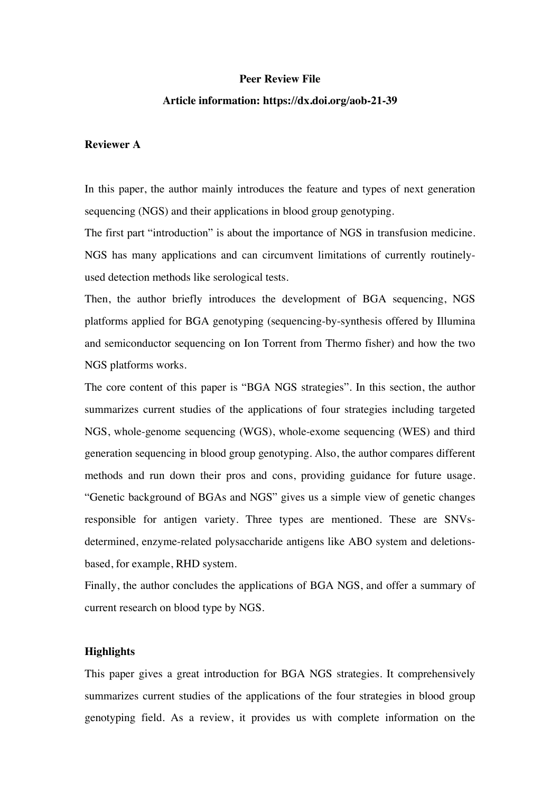## **Peer Review File**

## **Article information: https://dx.doi.org/aob-21-39**

## **Reviewer A**

In this paper, the author mainly introduces the feature and types of next generation sequencing (NGS) and their applications in blood group genotyping.

The first part "introduction" is about the importance of NGS in transfusion medicine. NGS has many applications and can circumvent limitations of currently routinelyused detection methods like serological tests.

Then, the author briefly introduces the development of BGA sequencing, NGS platforms applied for BGA genotyping (sequencing-by-synthesis offered by Illumina and semiconductor sequencing on Ion Torrent from Thermo fisher) and how the two NGS platforms works.

The core content of this paper is "BGA NGS strategies". In this section, the author summarizes current studies of the applications of four strategies including targeted NGS, whole-genome sequencing (WGS), whole-exome sequencing (WES) and third generation sequencing in blood group genotyping. Also, the author compares different methods and run down their pros and cons, providing guidance for future usage. "Genetic background of BGAs and NGS" gives us a simple view of genetic changes responsible for antigen variety. Three types are mentioned. These are SNVsdetermined, enzyme-related polysaccharide antigens like ABO system and deletionsbased, for example, RHD system.

Finally, the author concludes the applications of BGA NGS, and offer a summary of current research on blood type by NGS.

#### **Highlights**

This paper gives a great introduction for BGA NGS strategies. It comprehensively summarizes current studies of the applications of the four strategies in blood group genotyping field. As a review, it provides us with complete information on the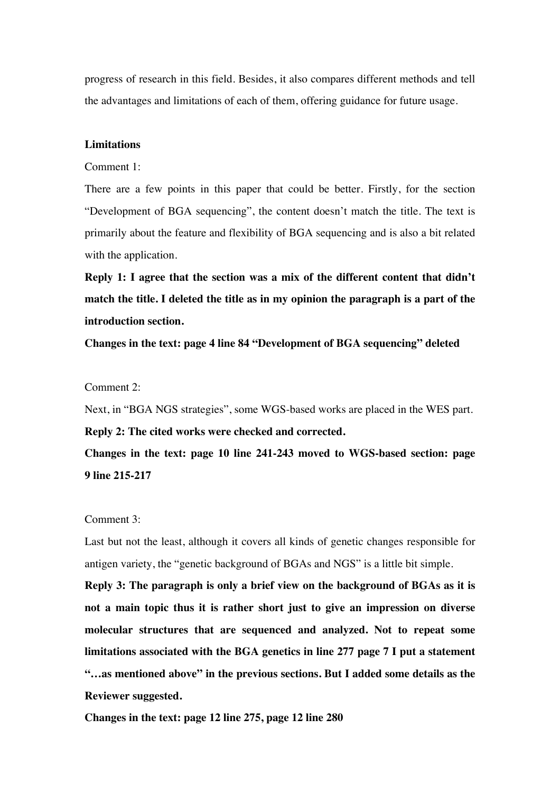progress of research in this field. Besides, it also compares different methods and tell the advantages and limitations of each of them, offering guidance for future usage.

## **Limitations**

Comment 1:

There are a few points in this paper that could be better. Firstly, for the section "Development of BGA sequencing", the content doesn't match the title. The text is primarily about the feature and flexibility of BGA sequencing and is also a bit related with the application.

**Reply 1: I agree that the section was a mix of the different content that didn't match the title. I deleted the title as in my opinion the paragraph is a part of the introduction section.** 

**Changes in the text: page 4 line 84 "Development of BGA sequencing" deleted**

# Comment 2:

Next, in "BGA NGS strategies", some WGS-based works are placed in the WES part.

## **Reply 2: The cited works were checked and corrected.**

**Changes in the text: page 10 line 241-243 moved to WGS-based section: page 9 line 215-217**

#### Comment 3:

Last but not the least, although it covers all kinds of genetic changes responsible for antigen variety, the "genetic background of BGAs and NGS" is a little bit simple.

**Reply 3: The paragraph is only a brief view on the background of BGAs as it is not a main topic thus it is rather short just to give an impression on diverse molecular structures that are sequenced and analyzed. Not to repeat some limitations associated with the BGA genetics in line 277 page 7 I put a statement "…as mentioned above" in the previous sections. But I added some details as the Reviewer suggested.** 

**Changes in the text: page 12 line 275, page 12 line 280**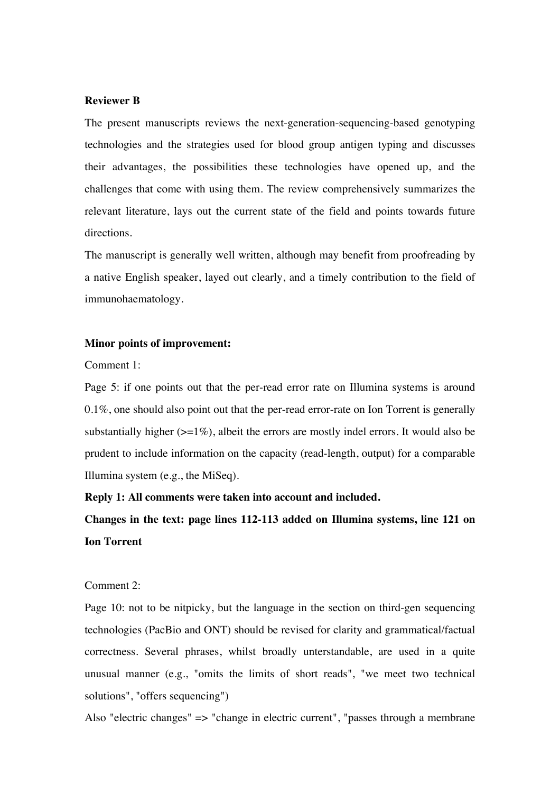## **Reviewer B**

The present manuscripts reviews the next-generation-sequencing-based genotyping technologies and the strategies used for blood group antigen typing and discusses their advantages, the possibilities these technologies have opened up, and the challenges that come with using them. The review comprehensively summarizes the relevant literature, lays out the current state of the field and points towards future directions.

The manuscript is generally well written, although may benefit from proofreading by a native English speaker, layed out clearly, and a timely contribution to the field of immunohaematology.

#### **Minor points of improvement:**

Comment 1:

Page 5: if one points out that the per-read error rate on Illumina systems is around 0.1%, one should also point out that the per-read error-rate on Ion Torrent is generally substantially higher  $(>=1\%)$ , albeit the errors are mostly indel errors. It would also be prudent to include information on the capacity (read-length, output) for a comparable Illumina system (e.g., the MiSeq).

**Reply 1: All comments were taken into account and included.**

**Changes in the text: page lines 112-113 added on Illumina systems, line 121 on Ion Torrent**

## Comment 2:

Page 10: not to be nitpicky, but the language in the section on third-gen sequencing technologies (PacBio and ONT) should be revised for clarity and grammatical/factual correctness. Several phrases, whilst broadly unterstandable, are used in a quite unusual manner (e.g., "omits the limits of short reads", "we meet two technical solutions", "offers sequencing")

Also "electric changes" => "change in electric current", "passes through a membrane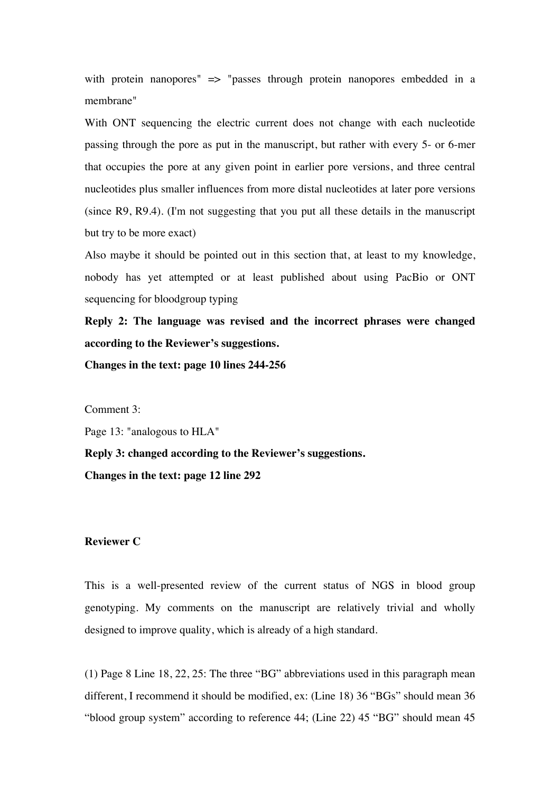with protein nanopores" => "passes through protein nanopores embedded in a membrane"

With ONT sequencing the electric current does not change with each nucleotide passing through the pore as put in the manuscript, but rather with every 5- or 6-mer that occupies the pore at any given point in earlier pore versions, and three central nucleotides plus smaller influences from more distal nucleotides at later pore versions (since R9, R9.4). (I'm not suggesting that you put all these details in the manuscript but try to be more exact)

Also maybe it should be pointed out in this section that, at least to my knowledge, nobody has yet attempted or at least published about using PacBio or ONT sequencing for bloodgroup typing

**Reply 2: The language was revised and the incorrect phrases were changed according to the Reviewer's suggestions.** 

**Changes in the text: page 10 lines 244-256**

Comment 3:

Page 13: "analogous to HLA"

**Reply 3: changed according to the Reviewer's suggestions. Changes in the text: page 12 line 292**

# **Reviewer C**

This is a well-presented review of the current status of NGS in blood group genotyping. My comments on the manuscript are relatively trivial and wholly designed to improve quality, which is already of a high standard.

(1) Page 8 Line 18, 22, 25: The three "BG" abbreviations used in this paragraph mean different, I recommend it should be modified, ex: (Line 18) 36 "BGs" should mean 36 "blood group system" according to reference 44; (Line 22) 45 "BG" should mean 45